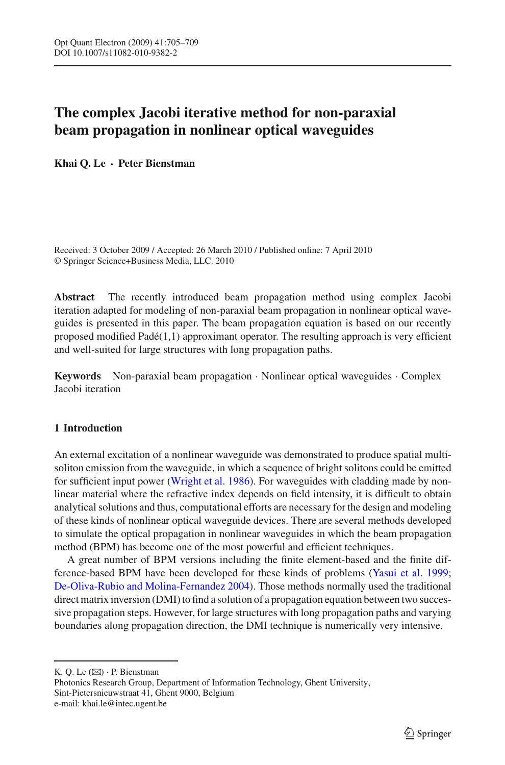# **The complex Jacobi iterative method for non-paraxial beam propagation in nonlinear optical waveguides**

**Khai Q. Le · Peter Bienstman**

Received: 3 October 2009 / Accepted: 26 March 2010 / Published online: 7 April 2010 © Springer Science+Business Media, LLC. 2010

**Abstract** The recently introduced beam propagation method using complex Jacobi iteration adapted for modeling of non-paraxial beam propagation in nonlinear optical waveguides is presented in this paper. The beam propagation equation is based on our recently proposed modified Padé(1,1) approximant operator. The resulting approach is very efficient and well-suited for large structures with long propagation paths.

**Keywords** Non-paraxial beam propagation · Nonlinear optical waveguides · Complex Jacobi iteration

## **1 Introduction**

An external excitation of a nonlinear waveguide was demonstrated to produce spatial multisoliton emission from the waveguide, in which a sequence of bright solitons could be emitted for sufficient input power [\(Wright et al. 1986](#page-4-0)). For waveguides with cladding made by nonlinear material where the refractive index depends on field intensity, it is difficult to obtain analytical solutions and thus, computational efforts are necessary for the design and modeling of these kinds of nonlinear optical waveguide devices. There are several methods developed to simulate the optical propagation in nonlinear waveguides in which the beam propagation method (BPM) has become one of the most powerful and efficient techniques.

A great number of BPM versions including the finite element-based and the finite difference-based BPM have been developed for these kinds of problems [\(Yasui et al. 1999](#page-4-1); [De-Oliva-Rubio and Molina-Fernandez 2004](#page-3-0)). Those methods normally used the traditional direct matrix inversion (DMI) to find a solution of a propagation equation between two successive propagation steps. However, for large structures with long propagation paths and varying boundaries along propagation direction, the DMI technique is numerically very intensive.

K. Q. Le  $(\boxtimes)$  · P. Bienstman

Photonics Research Group, Department of Information Technology, Ghent University, Sint-Pietersnieuwstraat 41, Ghent 9000, Belgium e-mail: khai.le@intec.ugent.be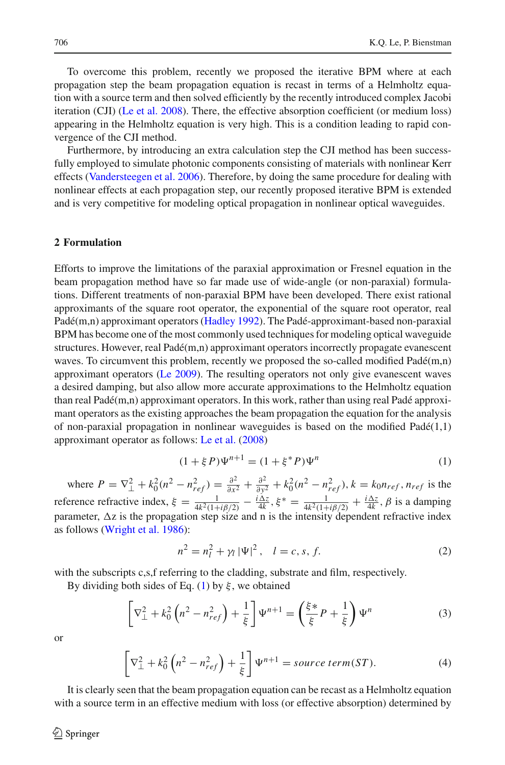To overcome this problem, recently we proposed the iterative BPM where at each propagation step the beam propagation equation is recast in terms of a Helmholtz equation with a source term and then solved efficiently by the recently introduced complex Jacobi iteration (CJI) [\(Le et al. 2008\)](#page-3-1). There, the effective absorption coefficient (or medium loss) appearing in the Helmholtz equation is very high. This is a condition leading to rapid convergence of the CJI method.

Furthermore, by introducing an extra calculation step the CJI method has been successfully employed to simulate photonic components consisting of materials with nonlinear Kerr effects [\(Vandersteegen et al. 2006\)](#page-3-2). Therefore, by doing the same procedure for dealing with nonlinear effects at each propagation step, our recently proposed iterative BPM is extended and is very competitive for modeling optical propagation in nonlinear optical waveguides.

### **2 Formulation**

Efforts to improve the limitations of the paraxial approximation or Fresnel equation in the beam propagation method have so far made use of wide-angle (or non-paraxial) formulations. Different treatments of non-paraxial BPM have been developed. There exist rational approximants of the square root operator, the exponential of the square root operator, real Padé(m,n) approximant operators [\(Hadley 1992\)](#page-3-3). The Padé-approximant-based non-paraxial BPM has become one of the most commonly used techniques for modeling optical waveguide structures. However, real Padé(m,n) approximant operators incorrectly propagate evanescent waves. To circumvent this problem, recently we proposed the so-called modified  $Pad\acute{e}(m,n)$ approximant operators [\(Le 2009](#page-3-4)). The resulting operators not only give evanescent waves a desired damping, but also allow more accurate approximations to the Helmholtz equation than real Padé(m,n) approximant operators. In this work, rather than using real Padé approximant operators as the existing approaches the beam propagation the equation for the analysis of non-paraxial propagation in nonlinear waveguides is based on the modified  $Pad\acute{e}(1,1)$ approximant operator as follows: [Le et al.](#page-3-1) [\(2008\)](#page-3-1)

$$
(1 + \xi P)\Psi^{n+1} = (1 + \xi^* P)\Psi^n
$$
 (1)

<span id="page-1-0"></span>where  $P = \nabla_{\perp}^2 + k_0^2 (n^2 - n_{ref}^2) = \frac{\partial^2}{\partial x^2} + \frac{\partial^2}{\partial y^2} + k_0^2 (n^2 - n_{ref}^2)$ ,  $k = k_0 n_{ref}$ ,  $n_{ref}$  is the reference refractive index,  $\xi = \frac{1}{4k^2(1+i\beta/2)} - \frac{i\Delta z}{4k}$ ,  $\xi^* = \frac{1}{4k^2(1+i\beta/2)} + \frac{i\Delta z}{4k}$ ,  $\beta$  is a damping parameter,  $\Delta z$  is the propagation step size and n is the intensity dependent refractive index as follows [\(Wright et al. 1986](#page-4-0)):

$$
n^{2} = n_{l}^{2} + \gamma_{l} |\Psi|^{2}, \quad l = c, s, f.
$$
 (2)

with the subscripts c,s,f referring to the cladding, substrate and film, respectively.

By dividing both sides of Eq. [\(1\)](#page-1-0) by  $\xi$ , we obtained

$$
\left[\nabla_{\perp}^2 + k_0^2 \left(n^2 - n_{ref}^2\right) + \frac{1}{\xi}\right] \Psi^{n+1} = \left(\frac{\xi \ast}{\xi} P + \frac{1}{\xi}\right) \Psi^n \tag{3}
$$

or

$$
\left[\nabla_{\perp}^2 + k_0^2 \left(n^2 - n_{ref}^2\right) + \frac{1}{\xi}\right] \Psi^{n+1} = source \ term(ST). \tag{4}
$$

It is clearly seen that the beam propagation equation can be recast as a Helmholtz equation with a source term in an effective medium with loss (or effective absorption) determined by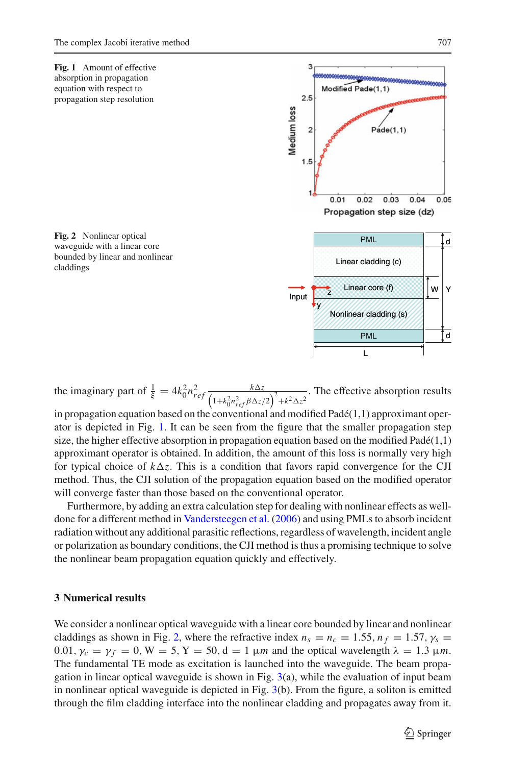<span id="page-2-0"></span>

<span id="page-2-1"></span>the imaginary part of  $\frac{1}{\xi} = 4k_0^2 n_{ref}^2 \frac{k \Delta z}{(1 + k_0^2)^2}$  $(1+k_0^2 n_{ref}^2 \beta \Delta z/2)^2 + k^2 \Delta z^2$ . The effective absorption results

in propagation equation based on the conventional and modified  $Pad(1,1)$  approximant operator is depicted in Fig. [1.](#page-2-0) It can be seen from the figure that the smaller propagation step size, the higher effective absorption in propagation equation based on the modified  $Pad\acute{e}(1,1)$ approximant operator is obtained. In addition, the amount of this loss is normally very high for typical choice of  $k\Delta z$ . This is a condition that favors rapid convergence for the CJI method. Thus, the CJI solution of the propagation equation based on the modified operator will converge faster than those based on the conventional operator.

Furthermore, by adding an extra calculation step for dealing with nonlinear effects as welldone for a different method in [Vandersteegen et al.](#page-3-2) [\(2006\)](#page-3-2) and using PMLs to absorb incident radiation without any additional parasitic reflections, regardless of wavelength, incident angle or polarization as boundary conditions, the CJI method is thus a promising technique to solve the nonlinear beam propagation equation quickly and effectively.

## **3 Numerical results**

We consider a nonlinear optical waveguide with a linear core bounded by linear and nonlinear claddings as shown in Fig. [2,](#page-2-1) where the refractive index  $n_s = n_c = 1.55$ ,  $n_f = 1.57$ ,  $\gamma_s =$ 0.01,  $\gamma_c = \gamma_f = 0$ ,  $W = 5$ ,  $Y = 50$ ,  $d = 1 \mu m$  and the optical wavelength  $\lambda = 1.3 \mu m$ . The fundamental TE mode as excitation is launched into the waveguide. The beam propagation in linear optical waveguide is shown in Fig.  $3(a)$  $3(a)$ , while the evaluation of input beam in nonlinear optical waveguide is depicted in Fig. [3\(](#page-3-5)b). From the figure, a soliton is emitted through the film cladding interface into the nonlinear cladding and propagates away from it.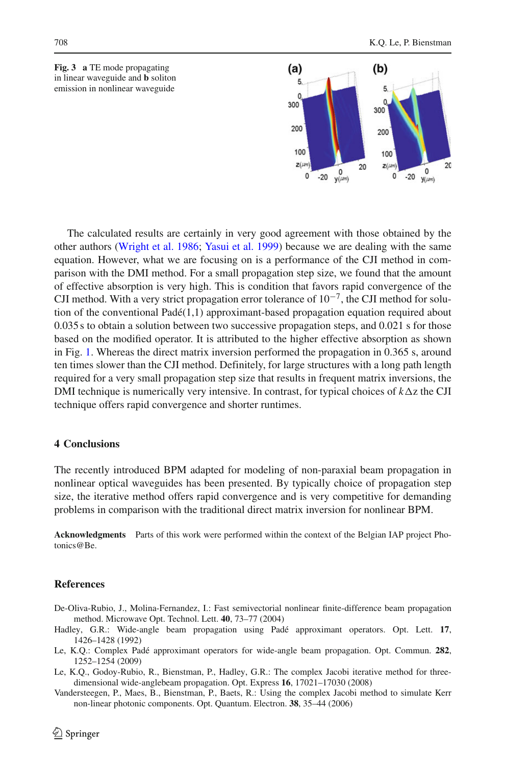<span id="page-3-5"></span>



The calculated results are certainly in very good agreement with those obtained by the other authors [\(Wright et al. 1986](#page-4-0); [Yasui et al. 1999\)](#page-4-1) because we are dealing with the same equation. However, what we are focusing on is a performance of the CJI method in comparison with the DMI method. For a small propagation step size, we found that the amount of effective absorption is very high. This is condition that favors rapid convergence of the CJI method. With a very strict propagation error tolerance of  $10^{-7}$ , the CJI method for solution of the conventional Padé(1,1) approximant-based propagation equation required about 0.035 s to obtain a solution between two successive propagation steps, and 0.021 s for those based on the modified operator. It is attributed to the higher effective absorption as shown in Fig. [1.](#page-2-0) Whereas the direct matrix inversion performed the propagation in 0.365 s, around ten times slower than the CJI method. Definitely, for large structures with a long path length required for a very small propagation step size that results in frequent matrix inversions, the DMI technique is numerically very intensive. In contrast, for typical choices of  $k\Delta z$  the CJI technique offers rapid convergence and shorter runtimes.

#### **4 Conclusions**

The recently introduced BPM adapted for modeling of non-paraxial beam propagation in nonlinear optical waveguides has been presented. By typically choice of propagation step size, the iterative method offers rapid convergence and is very competitive for demanding problems in comparison with the traditional direct matrix inversion for nonlinear BPM.

**Acknowledgments** Parts of this work were performed within the context of the Belgian IAP project Photonics@Be.

#### **References**

- <span id="page-3-0"></span>De-Oliva-Rubio, J., Molina-Fernandez, I.: Fast semivectorial nonlinear finite-difference beam propagation method. Microwave Opt. Technol. Lett. **40**, 73–77 (2004)
- <span id="page-3-3"></span>Hadley, G.R.: Wide-angle beam propagation using Padé approximant operators. Opt. Lett. **17**, 1426–1428 (1992)
- <span id="page-3-4"></span>Le, K.Q.: Complex Padé approximant operators for wide-angle beam propagation. Opt. Commun. **282**, 1252–1254 (2009)
- <span id="page-3-1"></span>Le, K.Q., Godoy-Rubio, R., Bienstman, P., Hadley, G.R.: The complex Jacobi iterative method for threedimensional wide-anglebeam propagation. Opt. Express **16**, 17021–17030 (2008)
- <span id="page-3-2"></span>Vandersteegen, P., Maes, B., Bienstman, P., Baets, R.: Using the complex Jacobi method to simulate Kerr non-linear photonic components. Opt. Quantum. Electron. **38**, 35–44 (2006)